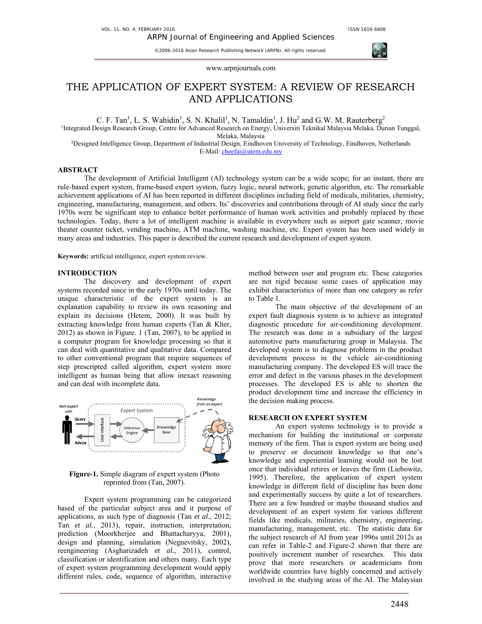www.arpnjournals.com

# THE APPLICATION OF EXPERT SYSTEM: A REVIEW OF RESEARCH AND APPLICATIONS

C. F. Tan<sup>1</sup>, L. S. Wahidin<sup>1</sup>, S. N. Khalil<sup>1</sup>, N. Tamaldin<sup>1</sup>, J. Hu<sup>2</sup> and G.W. M. Rauterberg<sup>2</sup>

1Integrated Design Research Group, Centre for Advanced Research on Energy, Universiti Teknikal Malaysia Melaka, Durian Tunggal, Melaka, Malaysia<br><sup>2</sup>Designed Intelligence Group, Department of Industrial Design, Eindhoven University of Technology, Eindhoven, Netherlands

E-Mail: cheefai@utem.edu.my

## **ABSTRACT**

The development of Artificial Intelligent (AI) technology system can be a wide scope; for an instant, there are rule-based expert system, frame-based expert system, fuzzy logic, neural network, genetic algorithm, etc. The remarkable achievement applications of AI has been reported in different disciplines including field of medicals, militaries, chemistry, engineering, manufacturing, management, and others. Its' discoveries and contributions through of AI study since the early 1970s were be significant step to enhance better performance of human work activities and probably replaced by these technologies. Today, there a lot of intelligent machine is available in everywhere such as airport gate scanner, movie theater counter ticket, vending machine, ATM machine, washing machine, etc. Expert system has been used widely in many areas and industries. This paper is described the current research and development of expert system.

**Keywords:** artificial intelligence, expert system review.

# **INTRODUCTION**

The discovery and development of expert systems recorded since in the early 1970s until today. The unique characteristic of the expert system is an explanation capability to review its own reasoning and explain its decisions (Hetem, 2000). It was built by extracting knowledge from human experts (Tan & Kher, 2012) as shown in Figure. 1 (Tan, 2007), to be applied in a computer program for knowledge processing so that it can deal with quantitative and qualitative data. Compared to other conventional program that require sequences of step prescripted called algorithm, expert system more intelligent as human being that allow inexact reasoning and can deal with incomplete data.



**Figure-1.** Simple diagram of expert system (Photo reprinted from (Tan, 2007).

Expert system programming can be categorized based of the particular subject area and it purpose of applications, as such type of diagnosis (Tan *et al.*, 2012; Tan *et al.*, 2013), repair, instruction, interpretation, prediction (Moorkherjee and Bhattacharyya, 2001), design and planning, simulation (Negnevitsky, 2002), reengineering (Asgharizadeh *et al.*, 2011), control, classification or identification and others many. Each type of expert system programming development would apply different rules, code, sequence of algorithm, interactive

method between user and program etc. These categories are not rigid because some cases of application may exhibit characteristics of more than one category as refer to Table 1.

The main objective of the development of an expert fault diagnosis system is to achieve an integrated diagnostic procedure for air-conditioning development. The research was done in a subsidiary of the largest automotive parts manufacturing group in Malaysia. The developed system is to diagnose problems in the product development process in the vehicle air-conditioning manufacturing company. The developed ES will trace the error and defect in the various phases in the development processes. The developed ES is able to shorten the product development time and increase the efficiency in the decision making process.

#### **RESEARCH ON EXPERT SYSTEM**

 An expert systems technology is to provide a mechanism for building the institutional or corporate memory of the firm. That is expert system are being used to preserve or document knowledge so that one's knowledge and experiential learning would not be lost once that individual retires or leaves the firm (Liebowitz, 1995). Therefore, the application of expert system knowledge in different field of discipline has been done and experimentally success by quite a lot of researchers. There are a few hundred or maybe thousand studies and development of an expert system for various different fields like medicals, militaries, chemistry, engineering, manufacturing, management, etc. The statistic data for the subject research of AI from year 1996s until 2012s as can refer in Table-2 and Figure-2 shown that there are positively increment number of researches. This data prove that more researchers or academicians from worldwide countries have highly concerned and actively involved in the studying areas of the AI. The Malaysian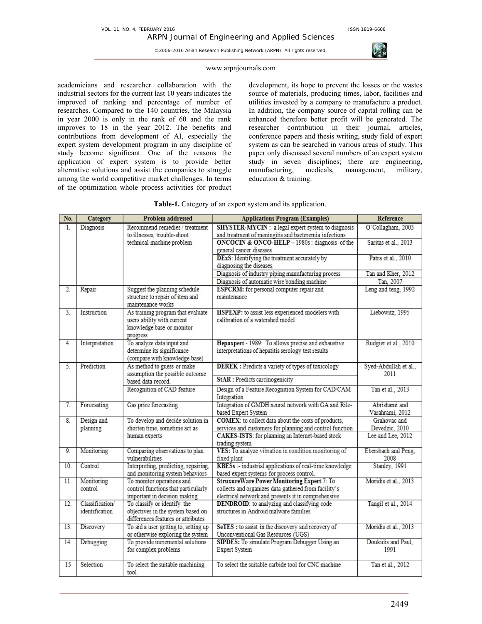

# www.arpnjournals.com

academicians and researcher collaboration with the industrial sectors for the current last 10 years indicates the improved of ranking and percentage of number of researches. Compared to the 140 countries, the Malaysia in year 2000 is only in the rank of 60 and the rank improves to 18 in the year 2012. The benefits and contributions from development of AI, especially the expert system development program in any discipline of study become significant. One of the reasons the application of expert system is to provide better alternative solutions and assist the companies to struggle among the world competitive market challenges. In terms of the optimization whole process activities for product

development, its hope to prevent the losses or the wastes source of materials, producing times, labor, facilities and utilities invested by a company to manufacture a product. In addition, the company source of capital rolling can be enhanced therefore better profit will be generated. The researcher contribution in their journal, articles, conference papers and thesis writing, study field of expert system as can be searched in various areas of study. This paper only discussed several numbers of an expert system study in seven disciplines; there are engineering, manufacturing, medicals, management, military, manufacturing, medicals, management, military, education & training.

| No.             | Category                          | <b>Problem addressed</b>                                                                                 | <b>Applications Program (Examples)</b>                                                                                                                           | Reference                        |
|-----------------|-----------------------------------|----------------------------------------------------------------------------------------------------------|------------------------------------------------------------------------------------------------------------------------------------------------------------------|----------------------------------|
| 1.              | Diagnosis                         | Recommend remedies / treatment<br>to illnesses, trouble-shoot                                            | SHYSTER-MYCIN : a legal expert system to diagnosis<br>and treatment of meningitis and bacteremia infections                                                      | O'Collagham, 2003                |
|                 |                                   | technical machine problem                                                                                | ONCOCIN & ONCO-HELP - 1980s : diagnosis of the<br>general cancer diseases                                                                                        | Saritas et al., 2013             |
|                 |                                   |                                                                                                          | DExS: Identifying the treatment accurately by<br>diagnosing the diseases.                                                                                        | Patra et al., 2010               |
|                 |                                   |                                                                                                          | Diagnosis of industry piping manufacturing process                                                                                                               | Tan and Kher, 2012               |
|                 |                                   |                                                                                                          | Diagnosis of automatic wire bonding machine                                                                                                                      | Tan, 2007                        |
| 2.              | Repair                            | Suggest the planning schedule<br>structure to repair of item and<br>maintenance works                    | ESPCRM: for personal computer repair and<br>maintenance                                                                                                          | Leng and teng, 1992              |
| 3.              | Instruction                       | As training program that evaluate<br>users ability with current<br>knowledge base or monitor<br>progress | HSPEXP: to assist less experienced modelers with<br>calibration of a watershed model                                                                             | Liebowitz, 1995                  |
| 4.              | Interpretation                    | To analyze data input and<br>determine its significance<br>(compare with knowledge base)                 | Hepaxpert - 1989: To allows precise and exhaustive<br>interpretations of hepatitis serology test results                                                         | Rudgier et al., 2010             |
| 5.              | Prediction                        | As method to guess or make<br>assumption the possible outcome<br>based data record.                      | <b>DEREK</b> : Predicts a variety of types of toxicology<br>StAR : Predicts carcinogenicity                                                                      | Syed-Abdullah et al.,<br>2011    |
|                 |                                   | Recognition of CAD feature                                                                               | Design of a Feature Recognition System for CAD/CAM<br>Integration                                                                                                | Tan et al., 2013                 |
| 7.              | Forecasting                       | Gas price forecasting                                                                                    | Integration of GMDH neural network with GA and Rile-<br>based Expert System                                                                                      | Abrishami and<br>Varahrami, 2012 |
| 8.              | Design and                        | To develop and decide solution in                                                                        | <b>COMEX</b> : to collect data about the costs of products,                                                                                                      | Grahovac and                     |
|                 | planning                          | shorten time, sometime act as                                                                            | services and customers for planning and control function                                                                                                         | Devedzic, 2010                   |
|                 |                                   | human experts                                                                                            | CAKES-ISTS: for planning an Internet-based stock<br>trading system                                                                                               | Lee and Lee, 2012                |
| 9.              | Monitoring                        | Comparing observations to plan<br>vulnerabilities                                                        | VES: To analyze vibration in condition monitoring of<br>fixed plant                                                                                              | Ebersbach and Peng,<br>2008      |
| 10 <sub>1</sub> | Control                           | Interpreting, predicting, repairing,<br>and monitoring system behaviors                                  | KBESs :- industrial applications of real-time knowledge<br>based expert systems for process control.                                                             | Stanley, 1991                    |
| 11.             | Monitoring<br>control             | To monitor operations and<br>control functions that particularly<br>important in decision making         | <b>StruxureWare Power Monitoring Expert 7: To</b><br>collects and organizes data gathered from facility's<br>electrical network and presents it in comprehensive | Moridis et al., 2013             |
| 12.             | Classification/<br>identification | To classify or identify the<br>objectives in the system based on<br>differences features or attributes   | <b>DENDROID</b> : to analyzing and classifying code<br>structures in Android malware families                                                                    | Tangil et al., 2014              |
| 13.             | Discovery                         | To aid a user getting to, setting up<br>or otherwise exploring the system                                | SeTES : to assist in the discovery and recovery of<br>Unconventional Gas Resources (UGS)                                                                         | Moridis et al., 2013             |
| 14.             | Debugging                         | To provide incremental solutions<br>for complex problems                                                 | SIPDES: To simulate Program Debugger Using an<br><b>Expert System</b>                                                                                            | Doukidis and Paul,<br>1991       |
| 15              | Selection                         | To select the suitable machining<br>tool                                                                 | To select the suitable carbide tool for CNC machine                                                                                                              | Tan et al., 2012                 |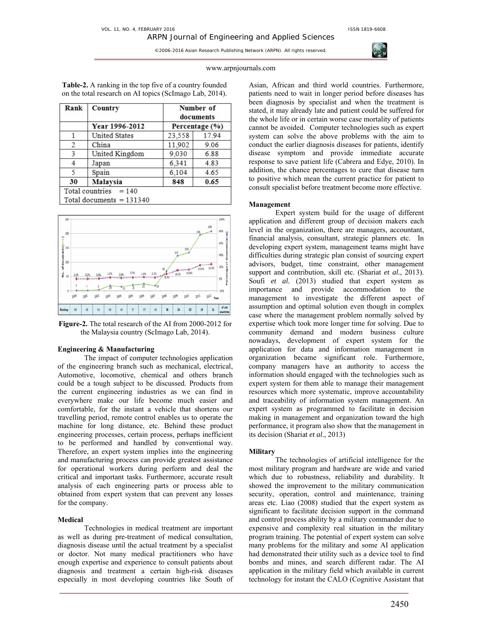

#### www.arpnjournals.com

**Table-2.** A ranking in the top five of a country founded on the total research on AI topics (ScImago Lab, 2014).

| Rank | <b>Country</b>             | Number of<br>documents<br>Percentage (%) |       |
|------|----------------------------|------------------------------------------|-------|
|      | Year 1996-2012             |                                          |       |
| 1    | <b>United States</b>       | 23,558                                   | 17.94 |
| 2    | China                      | 11,902                                   | 9.06  |
| 3    | United Kingdom             | 9,030                                    | 6.88  |
| 4    | Japan                      | 6.341                                    | 4.83  |
| 5    | Spain                      | 6,104                                    | 4.65  |
| 30   | <b>Malaysia</b>            | 848                                      | 0.65  |
|      | Total countries $= 140$    |                                          |       |
|      | Total documents $= 131340$ |                                          |       |



**Figure-2.** The total research of the AI from 2000-2012 for the Malaysia country (ScImago Lab, 2014).

#### **Engineering & Manufacturing**

The impact of computer technologies application of the engineering branch such as mechanical, electrical, Automotive, locomotive, chemical and others branch could be a tough subject to be discussed. Products from the current engineering industries as we can find in everywhere make our life become much easier and comfortable, for the instant a vehicle that shortens our travelling period, remote control enables us to operate the machine for long distance, etc. Behind these product engineering processes, certain process, perhaps inefficient to be performed and handled by conventional way. Therefore, an expert system implies into the engineering and manufacturing process can provide greatest assistance for operational workers during perform and deal the critical and important tasks. Furthermore, accurate result analysis of each engineering parts or process able to obtained from expert system that can prevent any losses for the company.

# **Medical**

Technologies in medical treatment are important as well as during pre-treatment of medical consultation, diagnosis disease until the actual treatment by a specialist or doctor. Not many medical practitioners who have enough expertise and experience to consult patients about diagnosis and treatment a certain high-risk diseases especially in most developing countries like South of Asian, African and third world countries. Furthermore, patients need to wait in longer period before diseases has been diagnosis by specialist and when the treatment is stated, it may already late and patient could be suffered for the whole life or in certain worse case mortality of patients cannot be avoided. Computer technologies such as expert system can solve the above problems with the aim to conduct the earlier diagnosis diseases for patients, identify disease symptom and provide immediate accurate response to save patient life (Cabrera and Edye, 2010). In addition, the chance percentages to cure that disease turn to positive which mean the current practice for patient to consult specialist before treatment become more effective.

#### **Management**

Expert system build for the usage of different application and different group of decision makers each level in the organization, there are managers, accountant, financial analysis, consultant, strategic planners etc. In developing expert system, management teams might have difficulties during strategic plan consist of sourcing expert advisors, budget, time constraint, other management support and contribution, skill etc. (Shariat *et al.*, 2013). Soufi *et al.* (2013) studied that expert system as importance and provide accommodation to the management to investigate the different aspect of assumption and optimal solution even though in complex case where the management problem normally solved by expertise which took more longer time for solving. Due to community demand and modern business culture nowadays, development of expert system for the application for data and information management in organization became significant role. Furthermore, company managers have an authority to access the information should engaged with the technologies such as expert system for them able to manage their management resources which more systematic, improve accountability and traceability of information system management. An expert system as programmed to facilitate in decision making in management and organization toward the high performance, it program also show that the management in its decision (Shariat *et al.*, 2013)

#### **Military**

The technologies of artificial intelligence for the most military program and hardware are wide and varied which due to robustness, reliability and durability. It showed the improvement to the military communication security, operation, control and maintenance, training areas etc. Liao (2008) studied that the expert system as significant to facilitate decision support in the command and control process ability by a military commander due to expensive and complexity real situation in the military program training. The potential of expert system can solve many problems for the military and some AI application had demonstrated their utility such as a device tool to find bombs and mines, and search different radar. The AI application in the military field which available in current technology for instant the CALO (Cognitive Assistant that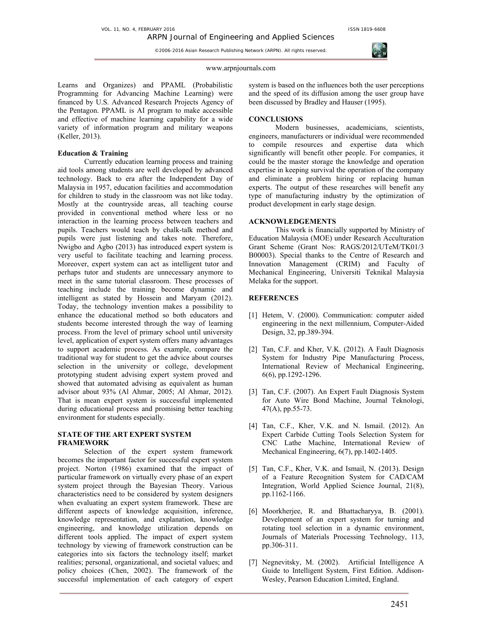#### www.arpnjournals.com

Learns and Organizes) and PPAML (Probabilistic Programming for Advancing Machine Learning) were financed by U.S. Advanced Research Projects Agency of the Pentagon. PPAML is AI program to make accessible and effective of machine learning capability for a wide variety of information program and military weapons (Keller, 2013).

# **Education & Training**

Currently education learning process and training aid tools among students are well developed by advanced technology. Back to era after the Independent Day of Malaysia in 1957, education facilities and accommodation for children to study in the classroom was not like today. Mostly at the countryside areas, all teaching course provided in conventional method where less or no interaction in the learning process between teachers and pupils. Teachers would teach by chalk-talk method and pupils were just listening and takes note. Therefore, Nwigbo and Agbo (2013) has introduced expert system is very useful to facilitate teaching and learning process. Moreover, expert system can act as intelligent tutor and perhaps tutor and students are unnecessary anymore to meet in the same tutorial classroom. These processes of teaching include the training become dynamic and intelligent as stated by Hossein and Maryam (2012). Today, the technology invention makes a possibility to enhance the educational method so both educators and students become interested through the way of learning process. From the level of primary school until university level, application of expert system offers many advantages to support academic process. As example, compare the traditional way for student to get the advice about courses selection in the university or college, development prototyping student advising expert system proved and showed that automated advising as equivalent as human advisor about 93% (Al Ahmar, 2005; Al Ahmar, 2012). That is mean expert system is successful implemented during educational process and promising better teaching environment for students especially.

# **STATE OF THE ART EXPERT SYSTEM FRAMEWORK**

Selection of the expert system framework becomes the important factor for successful expert system project. Norton (1986) examined that the impact of particular framework on virtually every phase of an expert system project through the Bayesian Theory. Various characteristics need to be considered by system designers when evaluating an expert system framework. These are different aspects of knowledge acquisition, inference, knowledge representation, and explanation, knowledge engineering, and knowledge utilization depends on different tools applied. The impact of expert system technology by viewing of framework construction can be categories into six factors the technology itself; market realities; personal, organizational, and societal values; and policy choices (Chen, 2002). The framework of the successful implementation of each category of expert

system is based on the influences both the user perceptions and the speed of its diffusion among the user group have been discussed by Bradley and Hauser (1995).

# **CONCLUSIONS**

 Modern businesses, academicians, scientists, engineers, manufacturers or individual were recommended to compile resources and expertise data which significantly will benefit other people. For companies, it could be the master storage the knowledge and operation expertise in keeping survival the operation of the company and eliminate a problem hiring or replacing human experts. The output of these researches will benefit any type of manufacturing industry by the optimization of product development in early stage design.

# **ACKNOWLEDGEMENTS**

This work is financially supported by Ministry of Education Malaysia (MOE) under Research Acculturation Grant Scheme (Grant Nos: RAGS/2012/UTeM/TK01/3 B00003). Special thanks to the Centre of Research and Innovation Management (CRIM) and Faculty of Mechanical Engineering, Universiti Teknikal Malaysia Melaka for the support.

# **REFERENCES**

- [1] Hetem, V. (2000). Communication: computer aided engineering in the next millennium, Computer-Aided Design, 32, pp.389-394.
- [2] Tan, C.F. and Kher, V.K. (2012). A Fault Diagnosis System for Industry Pipe Manufacturing Process, International Review of Mechanical Engineering, 6(6), pp.1292-1296.
- [3] Tan, C.F. (2007). An Expert Fault Diagnosis System for Auto Wire Bond Machine, Journal Teknologi, 47(A), pp.55-73.
- [4] Tan, C.F., Kher, V.K. and N. Ismail. (2012). An Expert Carbide Cutting Tools Selection System for CNC Lathe Machine, International Review of Mechanical Engineering, 6(7), pp.1402-1405.
- [5] Tan, C.F., Kher, V.K. and Ismail, N. (2013). Design of a Feature Recognition System for CAD/CAM Integration, World Applied Science Journal, 21(8), pp.1162-1166.
- [6] Moorkherjee, R. and Bhattacharyya, B. (2001). Development of an expert system for turning and rotating tool selection in a dynamic environment, Journals of Materials Processing Technology, 113, pp.306-311.
- [7] Negnevitsky, M. (2002). Artificial Intelligence A Guide to Intelligent System, First Edition. Addison-Wesley, Pearson Education Limited, England.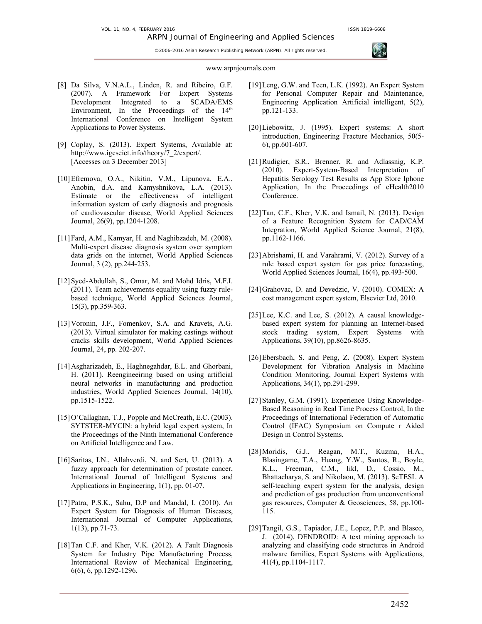

#### www.arpnjournals.com

- [8] Da Silva, V.N.A.L., Linden, R. and Ribeiro, G.F. (2007). A Framework For Expert Systems Development Integrated to a SCADA/EMS Environment, In the Proceedings of the  $14<sup>th</sup>$ International Conference on Intelligent System Applications to Power Systems.
- [9] Coplay, S. (2013). Expert Systems, Available at: http://www.igcseict.info/theory/7\_2/expert/. [Accesses on 3 December 2013]
- [10]Efremova, O.A., Nikitin, V.M., Lipunova, E.A., Anobin, d.A. and Kamyshnikova, L.A. (2013). Estimate or the effectiveness of intelligent information system of early diagnosis and prognosis of cardiovascular disease, World Applied Sciences Journal, 26(9), pp.1204-1208.
- [11]Fard, A.M., Kamyar, H. and Naghibzadeh, M. (2008). Multi-expert disease diagnosis system over symptom data grids on the internet, World Applied Sciences Journal, 3 (2), pp.244-253.
- [12]Syed-Abdullah, S., Omar, M. and Mohd Idris, M.F.I. (2011). Team achievements equality using fuzzy rulebased technique, World Applied Sciences Journal, 15(3), pp.359-363.
- [13] Voronin, J.F., Fomenkov, S.A. and Kravets, A.G. (2013). Virtual simulator for making castings without cracks skills development, World Applied Sciences Journal, 24, pp. 202-207.
- [14] Asgharizadeh, E., Haghnegahdar, E.L. and Ghorbani, H. (2011). Reengineeiring based on using artificial neural networks in manufacturing and production industries, World Applied Sciences Journal, 14(10), pp.1515-1522.
- [15]O'Callaghan, T.J., Popple and McCreath, E.C. (2003). SYTSTER-MYCIN: a hybrid legal expert system, In the Proceedings of the Ninth International Conference on Artificial Intelligence and Law.
- [16] Saritas, I.N., Allahverdi, N. and Sert, U. (2013). A fuzzy approach for determination of prostate cancer, International Journal of Intelligent Systems and Applications in Engineering, 1(1), pp. 01-07.
- [17]Patra, P.S.K., Sahu, D.P and Mandal, I. (2010). An Expert System for Diagnosis of Human Diseases, International Journal of Computer Applications, 1(13), pp.71-73.
- [18] Tan C.F. and Kher, V.K. (2012). A Fault Diagnosis System for Industry Pipe Manufacturing Process, International Review of Mechanical Engineering, 6(6), 6, pp.1292-1296.
- [19] Leng, G.W. and Teen, L.K. (1992). An Expert System for Personal Computer Repair and Maintenance, Engineering Application Artificial intelligent, 5(2), pp.121-133.
- [20]Liebowitz, J. (1995). Expert systems: A short introduction, Engineering Fracture Mechanics, 50(5- 6), pp.601-607.
- [21]Rudigier, S.R., Brenner, R. and Adlassnig, K.P. (2010). Expert-System-Based Interpretation of Hepatitis Serology Test Results as App Store Iphone Application, In the Proceedings of eHealth2010 Conference.
- [22] Tan, C.F., Kher, V.K. and Ismail, N. (2013). Design of a Feature Recognition System for CAD/CAM Integration, World Applied Science Journal, 21(8), pp.1162-1166.
- [23] Abrishami, H. and Varahrami, V. (2012). Survey of a rule based expert system for gas price forecasting, World Applied Sciences Journal, 16(4), pp.493-500.
- [24]Grahovac, D. and Devedzic, V. (2010). COMEX: A cost management expert system, Elsevier Ltd, 2010.
- [25] Lee, K.C. and Lee, S. (2012). A causal knowledgebased expert system for planning an Internet-based stock trading system, Expert Systems with Applications, 39(10), pp.8626-8635.
- [26]Ebersbach, S. and Peng, Z. (2008). Expert System Development for Vibration Analysis in Machine Condition Monitoring, Journal Expert Systems with Applications, 34(1), pp.291-299.
- [27] Stanley, G.M. (1991). Experience Using Knowledge-Based Reasoning in Real Time Process Control, In the Proceedings of International Federation of Automatic Control (IFAC) Symposium on Compute r Aided Design in Control Systems.
- [28]Moridis, G.J., Reagan, M.T., Kuzma, H.A., Blasingame, T.A., Huang, Y.W., Santos, R., Boyle, K.L., Freeman, C.M., Iikl, D., Cossio, M., Bhattacharya, S. and Nikolaou, M. (2013). SeTESL A self-teaching expert system for the analysis, design and prediction of gas production from unconventional gas resources, Computer & Geosciences, 58, pp.100- 115.
- [29]Tangil, G.S., Tapiador, J.E., Lopez, P.P. and Blasco, J. (2014). DENDROID: A text mining approach to analyzing and classifying code structures in Android malware families, Expert Systems with Applications, 41(4), pp.1104-1117.